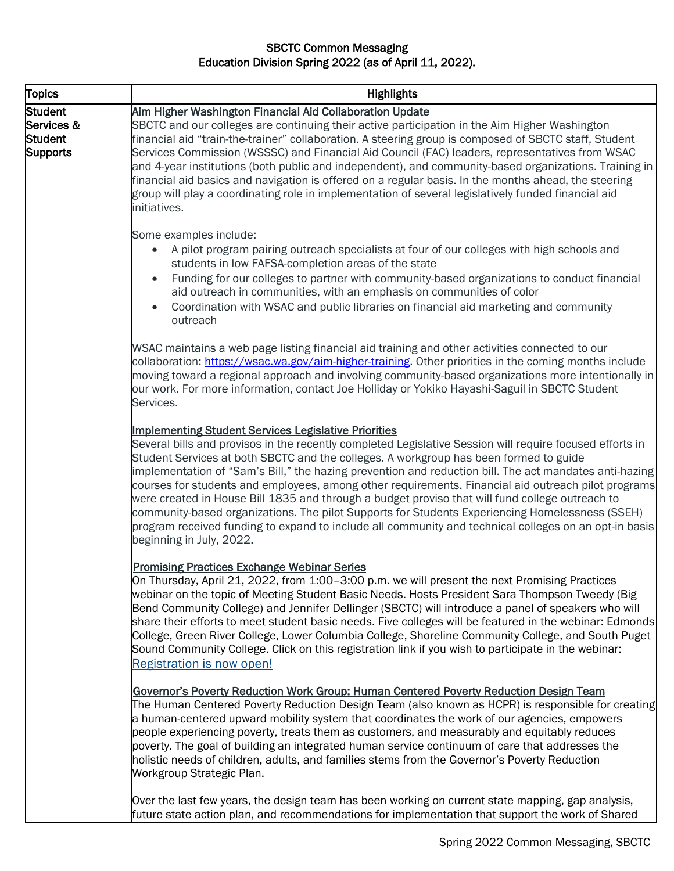## SBCTC Common Messaging Education Division Spring 2022 (as of April 11, 2022).

| <b>Topics</b>                                                     | <b>Highlights</b>                                                                                                                                                                                                                                                                                                                                                                                                                                                                                                                                                                                                                                                                                                                                                                                                            |
|-------------------------------------------------------------------|------------------------------------------------------------------------------------------------------------------------------------------------------------------------------------------------------------------------------------------------------------------------------------------------------------------------------------------------------------------------------------------------------------------------------------------------------------------------------------------------------------------------------------------------------------------------------------------------------------------------------------------------------------------------------------------------------------------------------------------------------------------------------------------------------------------------------|
| <b>Student</b><br>Services &<br><b>Student</b><br><b>Supports</b> | Aim Higher Washington Financial Aid Collaboration Update<br>SBCTC and our colleges are continuing their active participation in the Aim Higher Washington<br>financial aid "train-the-trainer" collaboration. A steering group is composed of SBCTC staff, Student<br>Services Commission (WSSSC) and Financial Aid Council (FAC) leaders, representatives from WSAC<br>and 4-year institutions (both public and independent), and community-based organizations. Training in<br>financial aid basics and navigation is offered on a regular basis. In the months ahead, the steering<br>group will play a coordinating role in implementation of several legislatively funded financial aid<br>initiatives.                                                                                                                 |
|                                                                   | Some examples include:<br>A pilot program pairing outreach specialists at four of our colleges with high schools and<br>$\bullet$<br>students in low FAFSA-completion areas of the state<br>Funding for our colleges to partner with community-based organizations to conduct financial<br>aid outreach in communities, with an emphasis on communities of color<br>Coordination with WSAC and public libraries on financial aid marketing and community<br>outreach                                                                                                                                                                                                                                                                                                                                                         |
|                                                                   | WSAC maintains a web page listing financial aid training and other activities connected to our<br>collaboration: https://wsac.wa.gov/aim-higher-training. Other priorities in the coming months include<br>moving toward a regional approach and involving community-based organizations more intentionally in<br>our work. For more information, contact Joe Holliday or Yokiko Hayashi-Saguil in SBCTC Student<br>Services.                                                                                                                                                                                                                                                                                                                                                                                                |
|                                                                   | <b>Implementing Student Services Legislative Priorities</b><br>Several bills and provisos in the recently completed Legislative Session will require focused efforts in<br>Student Services at both SBCTC and the colleges. A workgroup has been formed to guide<br>implementation of "Sam's Bill," the hazing prevention and reduction bill. The act mandates anti-hazing<br>courses for students and employees, among other requirements. Financial aid outreach pilot programs<br>were created in House Bill 1835 and through a budget proviso that will fund college outreach to<br>community-based organizations. The pilot Supports for Students Experiencing Homelessness (SSEH)<br>program received funding to expand to include all community and technical colleges on an opt-in basis<br>beginning in July, 2022. |
|                                                                   | <b>Promising Practices Exchange Webinar Series</b><br>On Thursday, April 21, 2022, from 1:00-3:00 p.m. we will present the next Promising Practices<br>webinar on the topic of Meeting Student Basic Needs. Hosts President Sara Thompson Tweedy (Big<br>Bend Community College) and Jennifer Dellinger (SBCTC) will introduce a panel of speakers who will<br>share their efforts to meet student basic needs. Five colleges will be featured in the webinar: Edmonds<br>College, Green River College, Lower Columbia College, Shoreline Community College, and South Puget<br>Sound Community College. Click on this registration link if you wish to participate in the webinar:<br>Registration is now open!                                                                                                             |
|                                                                   | Governor's Poverty Reduction Work Group: Human Centered Poverty Reduction Design Team<br>The Human Centered Poverty Reduction Design Team (also known as HCPR) is responsible for creating<br>a human-centered upward mobility system that coordinates the work of our agencies, empowers<br>people experiencing poverty, treats them as customers, and measurably and equitably reduces<br>poverty. The goal of building an integrated human service continuum of care that addresses the<br>holistic needs of children, adults, and families stems from the Governor's Poverty Reduction<br>Workgroup Strategic Plan.                                                                                                                                                                                                      |
|                                                                   | Over the last few years, the design team has been working on current state mapping, gap analysis,<br>future state action plan, and recommendations for implementation that support the work of Shared                                                                                                                                                                                                                                                                                                                                                                                                                                                                                                                                                                                                                        |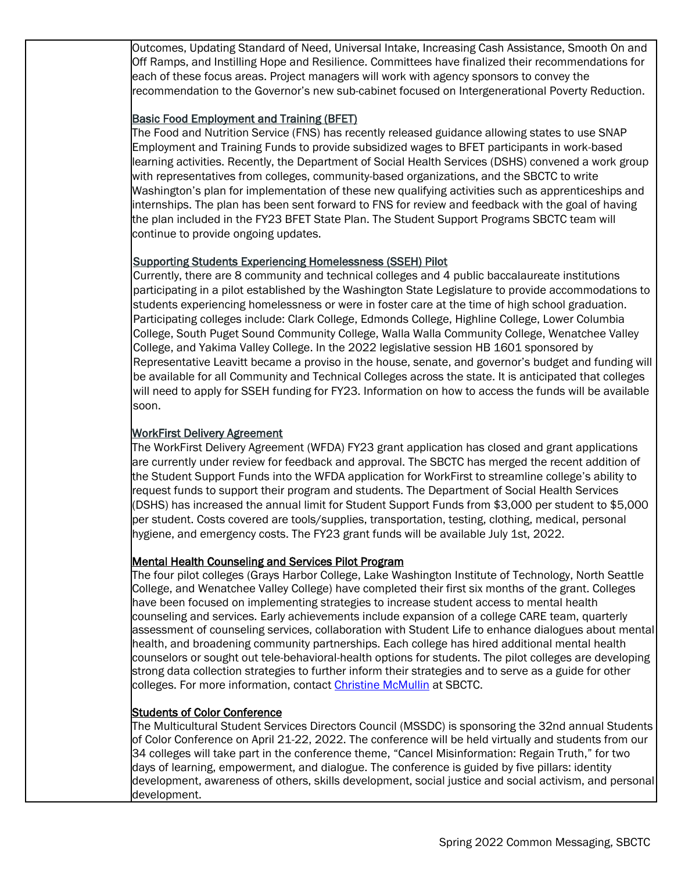Outcomes, Updating Standard of Need, Universal Intake, Increasing Cash Assistance, Smooth On and Off Ramps, and Instilling Hope and Resilience. Committees have finalized their recommendations for each of these focus areas. Project managers will work with agency sponsors to convey the recommendation to the Governor's new sub-cabinet focused on Intergenerational Poverty Reduction.

### Basic Food Employment and Training (BFET)

The Food and Nutrition Service (FNS) has recently released guidance allowing states to use SNAP Employment and Training Funds to provide subsidized wages to BFET participants in work-based learning activities. Recently, the Department of Social Health Services (DSHS) convened a work group with representatives from colleges, community-based organizations, and the SBCTC to write Washington's plan for implementation of these new qualifying activities such as apprenticeships and internships. The plan has been sent forward to FNS for review and feedback with the goal of having the plan included in the FY23 BFET State Plan. The Student Support Programs SBCTC team will continue to provide ongoing updates.

### Supporting Students Experiencing Homelessness (SSEH) Pilot

Currently, there are 8 community and technical colleges and 4 public baccalaureate institutions participating in a pilot established by the Washington State Legislature to provide accommodations to students experiencing homelessness or were in foster care at the time of high school graduation. Participating colleges include: Clark College, Edmonds College, Highline College, Lower Columbia College, South Puget Sound Community College, Walla Walla Community College, Wenatchee Valley College, and Yakima Valley College. In the 2022 legislative session HB 1601 sponsored by Representative Leavitt became a proviso in the house, senate, and governor's budget and funding will be available for all Community and Technical Colleges across the state. It is anticipated that colleges will need to apply for SSEH funding for FY23. Information on how to access the funds will be available soon.

### WorkFirst Delivery Agreement

The WorkFirst Delivery Agreement (WFDA) FY23 grant application has closed and grant applications are currently under review for feedback and approval. The SBCTC has merged the recent addition of the Student Support Funds into the WFDA application for WorkFirst to streamline college's ability to request funds to support their program and students. The Department of Social Health Services (DSHS) has increased the annual limit for Student Support Funds from \$3,000 per student to \$5,000 per student. Costs covered are tools/supplies, transportation, testing, clothing, medical, personal hygiene, and emergency costs. The FY23 grant funds will be available July 1st, 2022.

## Mental Health Counseling and Services Pilot Program

The four pilot colleges (Grays Harbor College, Lake Washington Institute of Technology, North Seattle College, and Wenatchee Valley College) have completed their first six months of the grant. Colleges have been focused on implementing strategies to increase student access to mental health counseling and services. Early achievements include expansion of a college CARE team, quarterly assessment of counseling services, collaboration with Student Life to enhance dialogues about mental health, and broadening community partnerships. Each college has hired additional mental health counselors or sought out tele-behavioral-health options for students. The pilot colleges are developing strong data collection strategies to further inform their strategies and to serve as a guide for other colleges. For more information, contact [Christine McMullin](mailto:cmcmullin@sbctc.edu) at SBCTC.

#### Students of Color Conference

The Multicultural Student Services Directors Council (MSSDC) is sponsoring the 32nd annual Students of Color Conference on April 21-22, 2022. The conference will be held virtually and students from our 34 colleges will take part in the conference theme, "Cancel Misinformation: Regain Truth," for two days of learning, empowerment, and dialogue. The conference is guided by five pillars: identity development, awareness of others, skills development, social justice and social activism, and personal development.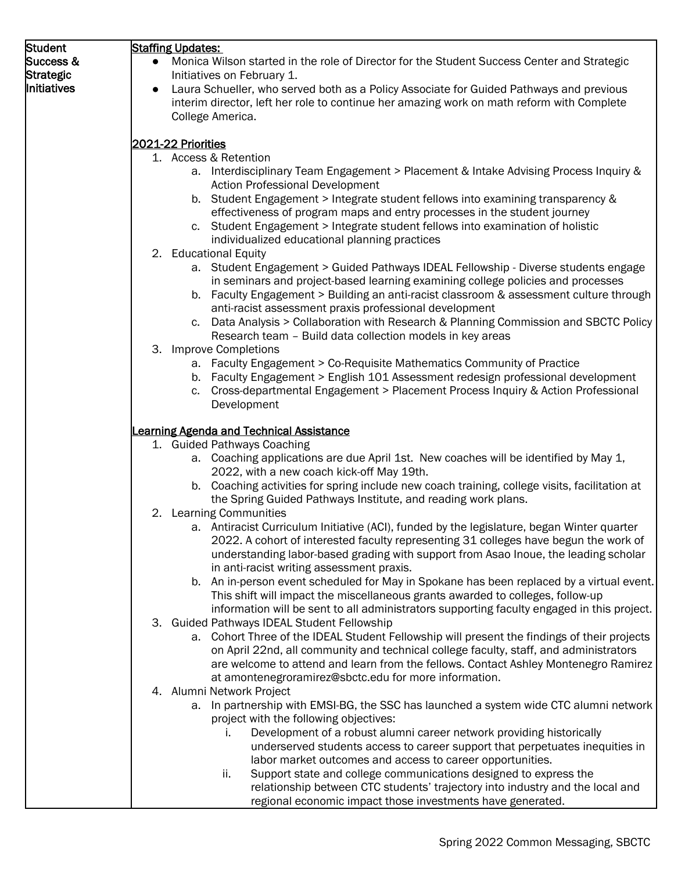| Student          | <b>Staffing Updates:</b>                                                                                                                                                     |
|------------------|------------------------------------------------------------------------------------------------------------------------------------------------------------------------------|
| Success &        | Monica Wilson started in the role of Director for the Student Success Center and Strategic<br>$\bullet$                                                                      |
| <b>Strategic</b> | Initiatives on February 1.                                                                                                                                                   |
| Initiatives      | Laura Schueller, who served both as a Policy Associate for Guided Pathways and previous<br>$\bullet$                                                                         |
|                  | interim director, left her role to continue her amazing work on math reform with Complete                                                                                    |
|                  | College America.                                                                                                                                                             |
|                  |                                                                                                                                                                              |
|                  | 2021-22 Priorities                                                                                                                                                           |
|                  | 1. Access & Retention                                                                                                                                                        |
|                  | a. Interdisciplinary Team Engagement > Placement & Intake Advising Process Inquiry &                                                                                         |
|                  | <b>Action Professional Development</b>                                                                                                                                       |
|                  | b. Student Engagement > Integrate student fellows into examining transparency &                                                                                              |
|                  | effectiveness of program maps and entry processes in the student journey                                                                                                     |
|                  | c. Student Engagement > Integrate student fellows into examination of holistic                                                                                               |
|                  | individualized educational planning practices                                                                                                                                |
|                  | 2. Educational Equity                                                                                                                                                        |
|                  | a. Student Engagement > Guided Pathways IDEAL Fellowship - Diverse students engage                                                                                           |
|                  | in seminars and project-based learning examining college policies and processes                                                                                              |
|                  | b. Faculty Engagement > Building an anti-racist classroom & assessment culture through                                                                                       |
|                  | anti-racist assessment praxis professional development                                                                                                                       |
|                  | c. Data Analysis > Collaboration with Research & Planning Commission and SBCTC Policy                                                                                        |
|                  | Research team - Build data collection models in key areas<br>3. Improve Completions                                                                                          |
|                  | a. Faculty Engagement > Co-Requisite Mathematics Community of Practice                                                                                                       |
|                  | b. Faculty Engagement > English 101 Assessment redesign professional development                                                                                             |
|                  | Cross-departmental Engagement > Placement Process Inquiry & Action Professional<br>C.                                                                                        |
|                  | Development                                                                                                                                                                  |
|                  |                                                                                                                                                                              |
|                  | <b>Learning Agenda and Technical Assistance</b>                                                                                                                              |
|                  | 1. Guided Pathways Coaching                                                                                                                                                  |
|                  | a. Coaching applications are due April 1st. New coaches will be identified by May 1,                                                                                         |
|                  | 2022, with a new coach kick-off May 19th.                                                                                                                                    |
|                  | b. Coaching activities for spring include new coach training, college visits, facilitation at                                                                                |
|                  | the Spring Guided Pathways Institute, and reading work plans.                                                                                                                |
|                  | 2. Learning Communities                                                                                                                                                      |
|                  | a. Antiracist Curriculum Initiative (ACI), funded by the legislature, began Winter quarter                                                                                   |
|                  | 2022. A cohort of interested faculty representing 31 colleges have begun the work of                                                                                         |
|                  | understanding labor-based grading with support from Asao Inoue, the leading scholar                                                                                          |
|                  | in anti-racist writing assessment praxis.                                                                                                                                    |
|                  | b. An in-person event scheduled for May in Spokane has been replaced by a virtual event.                                                                                     |
|                  | This shift will impact the miscellaneous grants awarded to colleges, follow-up<br>information will be sent to all administrators supporting faculty engaged in this project. |
|                  | 3. Guided Pathways IDEAL Student Fellowship                                                                                                                                  |
|                  | a. Cohort Three of the IDEAL Student Fellowship will present the findings of their projects                                                                                  |
|                  | on April 22nd, all community and technical college faculty, staff, and administrators                                                                                        |
|                  | are welcome to attend and learn from the fellows. Contact Ashley Montenegro Ramirez                                                                                          |
|                  | at amontenegroramirez@sbctc.edu for more information.                                                                                                                        |
|                  | 4. Alumni Network Project                                                                                                                                                    |
|                  | a. In partnership with EMSI-BG, the SSC has launched a system wide CTC alumni network                                                                                        |
|                  | project with the following objectives:                                                                                                                                       |
|                  | Development of a robust alumni career network providing historically<br>Ι.                                                                                                   |
|                  | underserved students access to career support that perpetuates inequities in                                                                                                 |
|                  | labor market outcomes and access to career opportunities.                                                                                                                    |
|                  | Support state and college communications designed to express the<br>ii.                                                                                                      |
|                  | relationship between CTC students' trajectory into industry and the local and                                                                                                |
|                  | regional economic impact those investments have generated.                                                                                                                   |
|                  |                                                                                                                                                                              |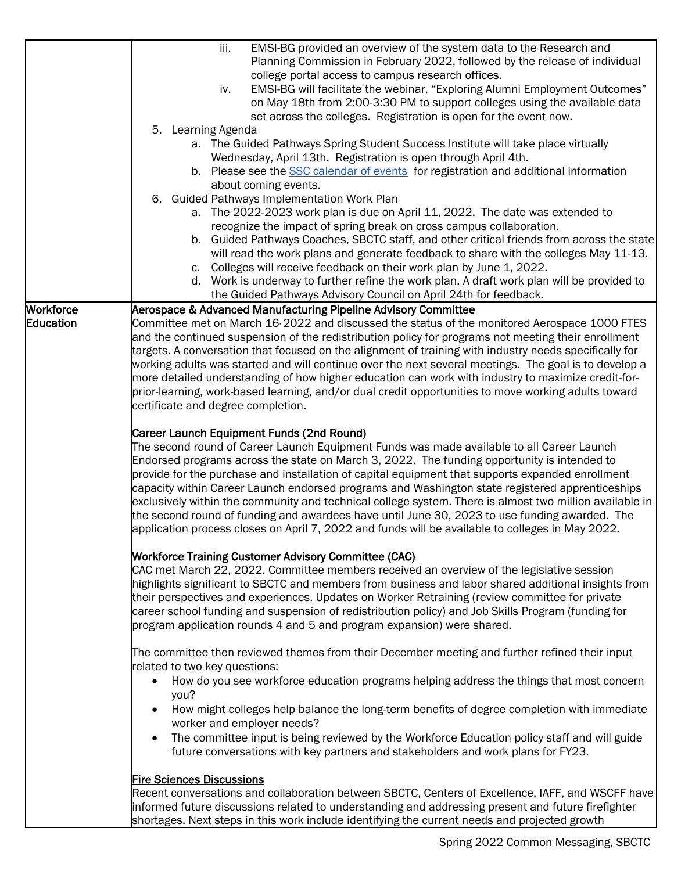|                  | iii.<br>EMSI-BG provided an overview of the system data to the Research and<br>Planning Commission in February 2022, followed by the release of individual<br>college portal access to campus research offices.<br>EMSI-BG will facilitate the webinar, "Exploring Alumni Employment Outcomes"<br>iv.<br>on May 18th from 2:00-3:30 PM to support colleges using the available data<br>set across the colleges. Registration is open for the event now.<br>5. Learning Agenda<br>a. The Guided Pathways Spring Student Success Institute will take place virtually<br>Wednesday, April 13th. Registration is open through April 4th.<br>b. Please see the SSC calendar of events for registration and additional information                                        |
|------------------|---------------------------------------------------------------------------------------------------------------------------------------------------------------------------------------------------------------------------------------------------------------------------------------------------------------------------------------------------------------------------------------------------------------------------------------------------------------------------------------------------------------------------------------------------------------------------------------------------------------------------------------------------------------------------------------------------------------------------------------------------------------------|
|                  | about coming events.                                                                                                                                                                                                                                                                                                                                                                                                                                                                                                                                                                                                                                                                                                                                                |
|                  | 6. Guided Pathways Implementation Work Plan<br>a. The 2022-2023 work plan is due on April 11, 2022. The date was extended to<br>recognize the impact of spring break on cross campus collaboration.<br>b. Guided Pathways Coaches, SBCTC staff, and other critical friends from across the state<br>will read the work plans and generate feedback to share with the colleges May 11-13.<br>c. Colleges will receive feedback on their work plan by June 1, 2022.<br>d. Work is underway to further refine the work plan. A draft work plan will be provided to                                                                                                                                                                                                     |
| <b>Workforce</b> | the Guided Pathways Advisory Council on April 24th for feedback.<br>Aerospace & Advanced Manufacturing Pipeline Advisory Committee                                                                                                                                                                                                                                                                                                                                                                                                                                                                                                                                                                                                                                  |
| Education        | Committee met on March 16 2022 and discussed the status of the monitored Aerospace 1000 FTES<br>and the continued suspension of the redistribution policy for programs not meeting their enrollment<br>targets. A conversation that focused on the alignment of training with industry needs specifically for<br>working adults was started and will continue over the next several meetings. The goal is to develop a<br>more detailed understanding of how higher education can work with industry to maximize credit-for-<br>prior-learning, work-based learning, and/or dual credit opportunities to move working adults toward<br>certificate and degree completion.                                                                                           |
|                  | <b>Career Launch Equipment Funds (2nd Round)</b><br>The second round of Career Launch Equipment Funds was made available to all Career Launch<br>Endorsed programs across the state on March 3, 2022. The funding opportunity is intended to<br>provide for the purchase and installation of capital equipment that supports expanded enrollment<br>capacity within Career Launch endorsed programs and Washington state registered apprenticeships<br>exclusively within the community and technical college system. There is almost two million available in<br>the second round of funding and awardees have until June 30, 2023 to use funding awarded. The<br>application process closes on April 7, 2022 and funds will be available to colleges in May 2022. |
|                  | <b>Workforce Training Customer Advisory Committee (CAC)</b><br>CAC met March 22, 2022. Committee members received an overview of the legislative session<br>highlights significant to SBCTC and members from business and labor shared additional insights from<br>their perspectives and experiences. Updates on Worker Retraining (review committee for private<br>career school funding and suspension of redistribution policy) and Job Skills Program (funding for<br>program application rounds 4 and 5 and program expansion) were shared.                                                                                                                                                                                                                   |
|                  | The committee then reviewed themes from their December meeting and further refined their input<br>related to two key questions:                                                                                                                                                                                                                                                                                                                                                                                                                                                                                                                                                                                                                                     |
|                  | How do you see workforce education programs helping address the things that most concern<br>$\bullet$<br>you?                                                                                                                                                                                                                                                                                                                                                                                                                                                                                                                                                                                                                                                       |
|                  | How might colleges help balance the long-term benefits of degree completion with immediate<br>worker and employer needs?                                                                                                                                                                                                                                                                                                                                                                                                                                                                                                                                                                                                                                            |
|                  | The committee input is being reviewed by the Workforce Education policy staff and will guide<br>$\bullet$<br>future conversations with key partners and stakeholders and work plans for FY23.                                                                                                                                                                                                                                                                                                                                                                                                                                                                                                                                                                       |
|                  | <b>Fire Sciences Discussions</b>                                                                                                                                                                                                                                                                                                                                                                                                                                                                                                                                                                                                                                                                                                                                    |
|                  | Recent conversations and collaboration between SBCTC, Centers of Excellence, IAFF, and WSCFF have<br>informed future discussions related to understanding and addressing present and future firefighter<br>shortages. Next steps in this work include identifying the current needs and projected growth                                                                                                                                                                                                                                                                                                                                                                                                                                                            |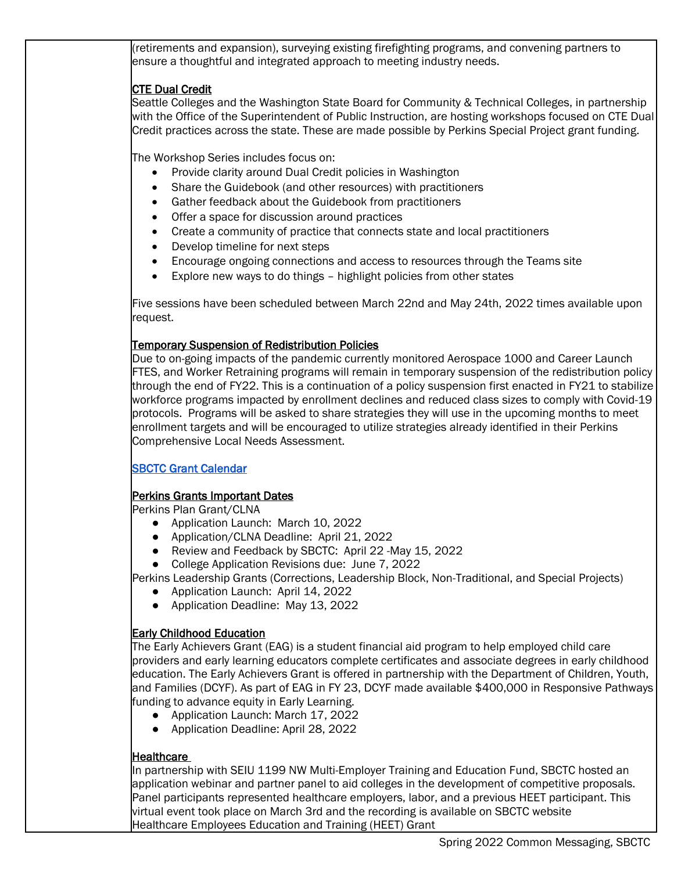retirements and expansion), surveying existing firefighting programs, and convening partners to ensure a thoughtful and integrated approach to meeting industry needs. **CTE Dual Credit** Seattle Colleges and the Washington State Board for Community & Technical Colleges, in partnership with the Office of the Superintendent of Public Instruction, are hosting workshops focused on CTE Dual

Credit practices across the state. These are made possible by Perkins Special Project grant funding.

The Workshop Series includes focus on:

- Provide clarity around Dual Credit policies in Washington
- Share the Guidebook (and other resources) with practitioners
- Gather feedback about the Guidebook from practitioners
- Offer a space for discussion around practices
- Create a community of practice that connects state and local practitioners
- Develop timeline for next steps
- Encourage ongoing connections and access to resources through the Teams site
- Explore new ways to do things highlight policies from other states

Five sessions have been scheduled between March 22nd and May 24th, 2022 times available upon request.

## Temporary Suspension of Redistribution Policies

Due to on-going impacts of the pandemic currently monitored Aerospace 1000 and Career Launch FTES, and Worker Retraining programs will remain in temporary suspension of the redistribution policy through the end of FY22. This is a continuation of a policy suspension first enacted in FY21 to stabilize workforce programs impacted by enrollment declines and reduced class sizes to comply with Covid-19 protocols. Programs will be asked to share strategies they will use in the upcoming months to meet enrollment targets and will be encouraged to utilize strategies already identified in their Perkins Comprehensive Local Needs Assessment.

# [SBCTC Grant Calendar](https://www.sbctc.edu/colleges-staff/grants/default.aspx)

# Perkins Grants Important Dates

Perkins Plan Grant/CLNA

- Application Launch: March 10, 2022
- Application/CLNA Deadline: April 21, 2022
- Review and Feedback by SBCTC: April 22 -May 15, 2022
- College Application Revisions due: June 7, 2022

Perkins Leadership Grants (Corrections, Leadership Block, Non-Traditional, and Special Projects)

- Application Launch: April 14, 2022
- Application Deadline: May 13, 2022

# Early Childhood Education

The Early Achievers Grant (EAG) is a student financial aid program to help employed child care providers and early learning educators complete certificates and associate degrees in early childhood education. The Early Achievers Grant is offered in partnership with the Department of Children, Youth, and Families (DCYF). As part of EAG in FY 23, DCYF made available \$400,000 in Responsive Pathways funding to advance equity in Early Learning.

- Application Launch: March 17, 2022
- Application Deadline: April 28, 2022

# **Healthcare**

In partnership with SEIU 1199 NW Multi-Employer Training and Education Fund, SBCTC hosted an application webinar and partner panel to aid colleges in the development of competitive proposals. Panel participants represented healthcare employers, labor, and a previous HEET participant. This virtual event took place on March 3rd and the recording is available on SBCTC website Healthcare Employees Education and Training (HEET) Grant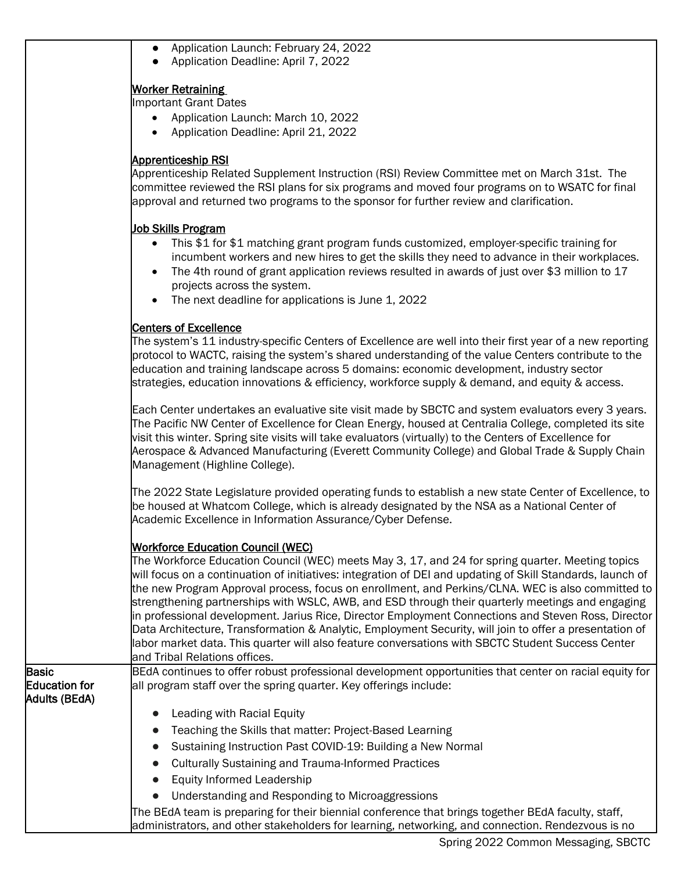|                                                | • Application Launch: February 24, 2022<br>• Application Deadline: April 7, 2022                                                                                                                                                                                                                                                                                                                                                                                                                                                                                                                                                                                                                                                                                                                                            |
|------------------------------------------------|-----------------------------------------------------------------------------------------------------------------------------------------------------------------------------------------------------------------------------------------------------------------------------------------------------------------------------------------------------------------------------------------------------------------------------------------------------------------------------------------------------------------------------------------------------------------------------------------------------------------------------------------------------------------------------------------------------------------------------------------------------------------------------------------------------------------------------|
|                                                | <b>Worker Retraining</b><br><b>Important Grant Dates</b><br>Application Launch: March 10, 2022<br>Application Deadline: April 21, 2022                                                                                                                                                                                                                                                                                                                                                                                                                                                                                                                                                                                                                                                                                      |
|                                                | Apprenticeship RSI<br>Apprenticeship Related Supplement Instruction (RSI) Review Committee met on March 31st. The<br>committee reviewed the RSI plans for six programs and moved four programs on to WSATC for final<br>approval and returned two programs to the sponsor for further review and clarification.                                                                                                                                                                                                                                                                                                                                                                                                                                                                                                             |
|                                                | Job Skills Program<br>This \$1 for \$1 matching grant program funds customized, employer-specific training for<br>$\bullet$<br>incumbent workers and new hires to get the skills they need to advance in their workplaces.<br>The 4th round of grant application reviews resulted in awards of just over \$3 million to 17<br>projects across the system.<br>The next deadline for applications is June 1, 2022                                                                                                                                                                                                                                                                                                                                                                                                             |
|                                                | <b>Centers of Excellence</b><br>The system's 11 industry-specific Centers of Excellence are well into their first year of a new reporting<br>protocol to WACTC, raising the system's shared understanding of the value Centers contribute to the<br>education and training landscape across 5 domains: economic development, industry sector<br>strategies, education innovations & efficiency, workforce supply & demand, and equity & access.                                                                                                                                                                                                                                                                                                                                                                             |
|                                                | Each Center undertakes an evaluative site visit made by SBCTC and system evaluators every 3 years.<br>The Pacific NW Center of Excellence for Clean Energy, housed at Centralia College, completed its site<br>visit this winter. Spring site visits will take evaluators (virtually) to the Centers of Excellence for<br>Aerospace & Advanced Manufacturing (Everett Community College) and Global Trade & Supply Chain<br>Management (Highline College).                                                                                                                                                                                                                                                                                                                                                                  |
|                                                | The 2022 State Legislature provided operating funds to establish a new state Center of Excellence, to<br>be housed at Whatcom College, which is already designated by the NSA as a National Center of<br>Academic Excellence in Information Assurance/Cyber Defense.                                                                                                                                                                                                                                                                                                                                                                                                                                                                                                                                                        |
|                                                | <b>Workforce Education Council (WEC)</b><br>The Workforce Education Council (WEC) meets May 3, 17, and 24 for spring quarter. Meeting topics<br>will focus on a continuation of initiatives: integration of DEI and updating of Skill Standards, launch of<br>the new Program Approval process, focus on enrollment, and Perkins/CLNA. WEC is also committed to<br>strengthening partnerships with WSLC, AWB, and ESD through their quarterly meetings and engaging<br>in professional development. Jarius Rice, Director Employment Connections and Steven Ross, Director<br>Data Architecture, Transformation & Analytic, Employment Security, will join to offer a presentation of<br>labor market data. This quarter will also feature conversations with SBCTC Student Success Center<br>and Tribal Relations offices. |
| Basic<br><b>Education for</b><br>Adults (BEdA) | BEdA continues to offer robust professional development opportunities that center on racial equity for<br>all program staff over the spring quarter. Key offerings include:                                                                                                                                                                                                                                                                                                                                                                                                                                                                                                                                                                                                                                                 |
|                                                | Leading with Racial Equity<br>Teaching the Skills that matter: Project-Based Learning<br>Sustaining Instruction Past COVID-19: Building a New Normal<br><b>Culturally Sustaining and Trauma-Informed Practices</b><br><b>Equity Informed Leadership</b><br>$\bullet$<br>Understanding and Responding to Microaggressions<br>The BEdA team is preparing for their biennial conference that brings together BEdA faculty, staff,                                                                                                                                                                                                                                                                                                                                                                                              |
|                                                | administrators, and other stakeholders for learning, networking, and connection. Rendezvous is no                                                                                                                                                                                                                                                                                                                                                                                                                                                                                                                                                                                                                                                                                                                           |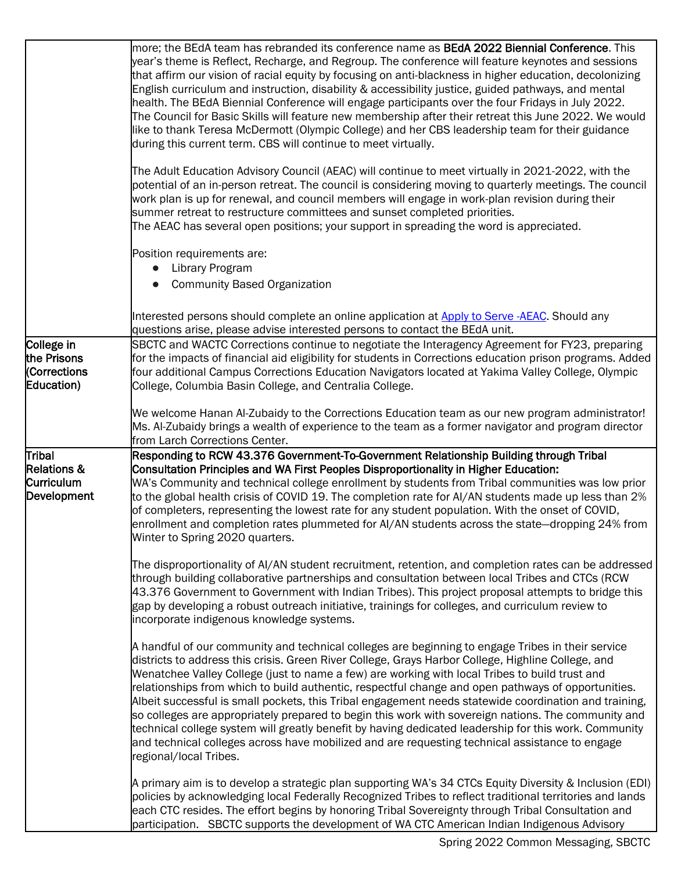|                                                         | more; the BEdA team has rebranded its conference name as <b>BEdA 2022 Biennial Conference</b> . This<br>year's theme is Reflect, Recharge, and Regroup. The conference will feature keynotes and sessions<br>that affirm our vision of racial equity by focusing on anti-blackness in higher education, decolonizing<br>English curriculum and instruction, disability & accessibility justice, guided pathways, and mental<br>health. The BEdA Biennial Conference will engage participants over the four Fridays in July 2022.<br>The Council for Basic Skills will feature new membership after their retreat this June 2022. We would<br>like to thank Teresa McDermott (Olympic College) and her CBS leadership team for their guidance<br>during this current term. CBS will continue to meet virtually.                                                       |
|---------------------------------------------------------|----------------------------------------------------------------------------------------------------------------------------------------------------------------------------------------------------------------------------------------------------------------------------------------------------------------------------------------------------------------------------------------------------------------------------------------------------------------------------------------------------------------------------------------------------------------------------------------------------------------------------------------------------------------------------------------------------------------------------------------------------------------------------------------------------------------------------------------------------------------------|
|                                                         | The Adult Education Advisory Council (AEAC) will continue to meet virtually in 2021-2022, with the<br>potential of an in-person retreat. The council is considering moving to quarterly meetings. The council<br>work plan is up for renewal, and council members will engage in work-plan revision during their<br>summer retreat to restructure committees and sunset completed priorities.<br>The AEAC has several open positions; your support in spreading the word is appreciated.                                                                                                                                                                                                                                                                                                                                                                             |
|                                                         | Position requirements are:<br>Library Program<br><b>Community Based Organization</b>                                                                                                                                                                                                                                                                                                                                                                                                                                                                                                                                                                                                                                                                                                                                                                                 |
|                                                         | Interested persons should complete an online application at Apply to Serve -AEAC. Should any                                                                                                                                                                                                                                                                                                                                                                                                                                                                                                                                                                                                                                                                                                                                                                         |
| College in<br>the Prisons<br>(Corrections<br>Education) | questions arise, please advise interested persons to contact the BEdA unit.<br>SBCTC and WACTC Corrections continue to negotiate the Interagency Agreement for FY23, preparing<br>for the impacts of financial aid eligibility for students in Corrections education prison programs. Added<br>four additional Campus Corrections Education Navigators located at Yakima Valley College, Olympic<br>College, Columbia Basin College, and Centralia College.                                                                                                                                                                                                                                                                                                                                                                                                          |
|                                                         | We welcome Hanan Al-Zubaidy to the Corrections Education team as our new program administrator!<br>Ms. Al-Zubaidy brings a wealth of experience to the team as a former navigator and program director<br>from Larch Corrections Center.                                                                                                                                                                                                                                                                                                                                                                                                                                                                                                                                                                                                                             |
| Tribal<br>Relations &<br>Curriculum<br>Development      | Responding to RCW 43.376 Government-To-Government Relationship Building through Tribal<br>Consultation Principles and WA First Peoples Disproportionality in Higher Education:<br>WA's Community and technical college enrollment by students from Tribal communities was low prior<br>to the global health crisis of COVID 19. The completion rate for AI/AN students made up less than 2%<br>of completers, representing the lowest rate for any student population. With the onset of COVID,<br>enrollment and completion rates plummeted for AI/AN students across the state-dropping 24% from<br>Winter to Spring 2020 quarters.<br>The disproportionality of AI/AN student recruitment, retention, and completion rates can be addressed                                                                                                                       |
|                                                         | through building collaborative partnerships and consultation between local Tribes and CTCs (RCW)<br>43.376 Government to Government with Indian Tribes). This project proposal attempts to bridge this<br>gap by developing a robust outreach initiative, trainings for colleges, and curriculum review to<br>incorporate indigenous knowledge systems.                                                                                                                                                                                                                                                                                                                                                                                                                                                                                                              |
|                                                         | A handful of our community and technical colleges are beginning to engage Tribes in their service<br>districts to address this crisis. Green River College, Grays Harbor College, Highline College, and<br>Wenatchee Valley College (just to name a few) are working with local Tribes to build trust and<br>relationships from which to build authentic, respectful change and open pathways of opportunities.<br>Albeit successful is small pockets, this Tribal engagement needs statewide coordination and training,<br>so colleges are appropriately prepared to begin this work with sovereign nations. The community and<br>technical college system will greatly benefit by having dedicated leadership for this work. Community<br>and technical colleges across have mobilized and are requesting technical assistance to engage<br>regional/local Tribes. |
|                                                         | A primary aim is to develop a strategic plan supporting WA's 34 CTCs Equity Diversity & Inclusion (EDI)<br>policies by acknowledging local Federally Recognized Tribes to reflect traditional territories and lands<br>each CTC resides. The effort begins by honoring Tribal Sovereignty through Tribal Consultation and<br>participation. SBCTC supports the development of WA CTC American Indian Indigenous Advisory                                                                                                                                                                                                                                                                                                                                                                                                                                             |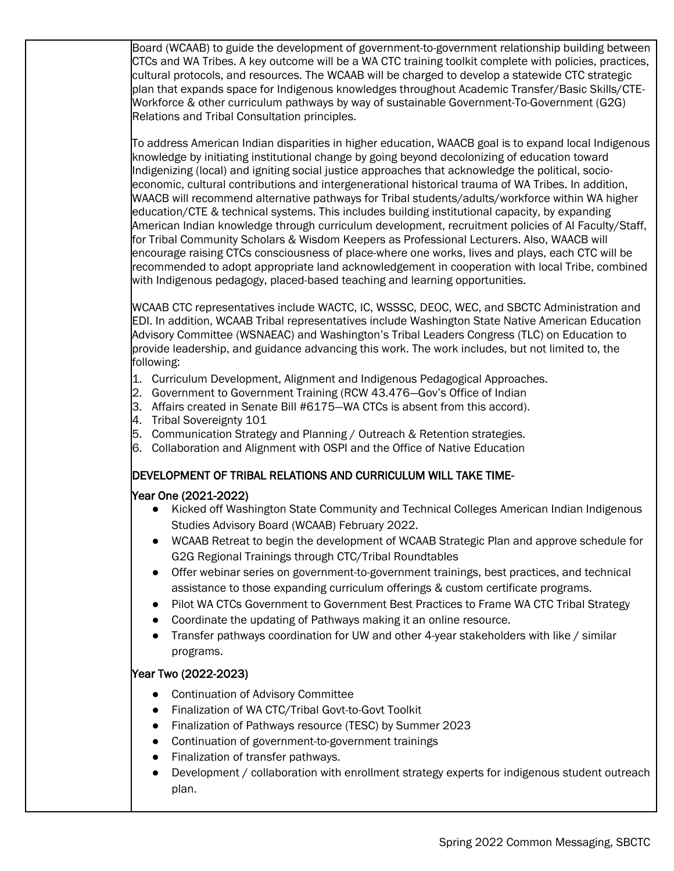Board (WCAAB) to guide the development of government-to-government relationship building between CTCs and WA Tribes. A key outcome will be a WA CTC training toolkit complete with policies, practices, cultural protocols, and resources. The WCAAB will be charged to develop a statewide CTC strategic plan that expands space for Indigenous knowledges throughout Academic Transfer/Basic Skills/CTE-Workforce & other curriculum pathways by way of sustainable Government-To-Government (G2G) Relations and Tribal Consultation principles.

To address American Indian disparities in higher education, WAACB goal is to expand local Indigenous knowledge by initiating institutional change by going beyond decolonizing of education toward Indigenizing (local) and igniting social justice approaches that acknowledge the political, socioeconomic, cultural contributions and intergenerational historical trauma of WA Tribes. In addition, WAACB will recommend alternative pathways for Tribal students/adults/workforce within WA higher education/CTE & technical systems. This includes building institutional capacity, by expanding American Indian knowledge through curriculum development, recruitment policies of AI Faculty/Staff, for Tribal Community Scholars & Wisdom Keepers as Professional Lecturers. Also, WAACB will encourage raising CTCs consciousness of place-where one works, lives and plays, each CTC will be recommended to adopt appropriate land acknowledgement in cooperation with local Tribe, combined with Indigenous pedagogy, placed-based teaching and learning opportunities.

WCAAB CTC representatives include WACTC, IC, WSSSC, DEOC, WEC, and SBCTC Administration and EDI. In addition, WCAAB Tribal representatives include Washington State Native American Education Advisory Committee (WSNAEAC) and Washington's Tribal Leaders Congress (TLC) on Education to provide leadership, and guidance advancing this work. The work includes, but not limited to, the following:

- 1. Curriculum Development, Alignment and Indigenous Pedagogical Approaches.
- 2. Government to Government Training (RCW 43.476—Gov's Office of Indian
- 3. Affairs created in Senate Bill #6175—WA CTCs is absent from this accord).
- 4. Tribal Sovereignty 101
- 5. Communication Strategy and Planning / Outreach & Retention strategies.
- 6. Collaboration and Alignment with OSPI and the Office of Native Education

## DEVELOPMENT OF TRIBAL RELATIONS AND CURRICULUM WILL TAKE TIME-

#### Year One (2021-2022)

- Kicked off Washington State Community and Technical Colleges American Indian Indigenous Studies Advisory Board (WCAAB) February 2022.
- WCAAB Retreat to begin the development of WCAAB Strategic Plan and approve schedule for G2G Regional Trainings through CTC/Tribal Roundtables
- Offer webinar series on government-to-government trainings, best practices, and technical assistance to those expanding curriculum offerings & custom certificate programs.
- Pilot WA CTCs Government to Government Best Practices to Frame WA CTC Tribal Strategy
- Coordinate the updating of Pathways making it an online resource.
- Transfer pathways coordination for UW and other 4-year stakeholders with like / similar programs.

## Year Two (2022-2023)

- Continuation of Advisory Committee
- Finalization of WA CTC/Tribal Govt-to-Govt Toolkit
- Finalization of Pathways resource (TESC) by Summer 2023
- Continuation of government-to-government trainings
- Finalization of transfer pathways.
- Development / collaboration with enrollment strategy experts for indigenous student outreach plan.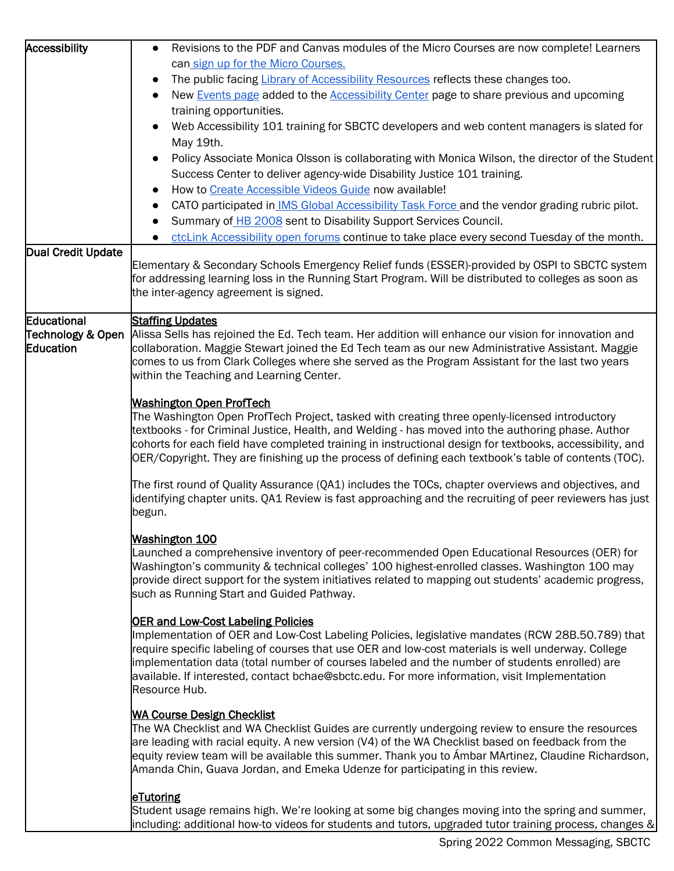| Accessibility      | Revisions to the PDF and Canvas modules of the Micro Courses are now complete! Learners<br>$\bullet$                                         |
|--------------------|----------------------------------------------------------------------------------------------------------------------------------------------|
|                    | can sign up for the Micro Courses.                                                                                                           |
|                    | The public facing Library of Accessibility Resources reflects these changes too.<br>$\bullet$                                                |
|                    | New Events page added to the <b>Accessibility Center</b> page to share previous and upcoming                                                 |
|                    | training opportunities.                                                                                                                      |
|                    | Web Accessibility 101 training for SBCTC developers and web content managers is slated for<br>$\bullet$                                      |
|                    | May 19th.                                                                                                                                    |
|                    | Policy Associate Monica Olsson is collaborating with Monica Wilson, the director of the Student                                              |
|                    |                                                                                                                                              |
|                    | Success Center to deliver agency-wide Disability Justice 101 training.                                                                       |
|                    | How to Create Accessible Videos Guide now available!                                                                                         |
|                    | CATO participated in IMS Global Accessibility Task Force and the vendor grading rubric pilot.                                                |
|                    | Summary of HB 2008 sent to Disability Support Services Council.<br>$\bullet$                                                                 |
|                    | ctcLink Accessibility open forums continue to take place every second Tuesday of the month.                                                  |
| Dual Credit Update | Elementary & Secondary Schools Emergency Relief funds (ESSER)-provided by OSPI to SBCTC system                                               |
|                    | for addressing learning loss in the Running Start Program. Will be distributed to colleges as soon as                                        |
|                    | the inter-agency agreement is signed.                                                                                                        |
|                    |                                                                                                                                              |
| Educational        | <b>Staffing Updates</b>                                                                                                                      |
| Technology & Open  | Alissa Sells has rejoined the Ed. Tech team. Her addition will enhance our vision for innovation and                                         |
| Education          | collaboration. Maggie Stewart joined the Ed Tech team as our new Administrative Assistant. Maggie                                            |
|                    | comes to us from Clark Colleges where she served as the Program Assistant for the last two years<br>within the Teaching and Learning Center. |
|                    |                                                                                                                                              |
|                    | <b>Washington Open ProfTech</b>                                                                                                              |
|                    | The Washington Open ProfTech Project, tasked with creating three openly-licensed introductory                                                |
|                    | textbooks - for Criminal Justice, Health, and Welding - has moved into the authoring phase. Author                                           |
|                    | cohorts for each field have completed training in instructional design for textbooks, accessibility, and                                     |
|                    | OER/Copyright. They are finishing up the process of defining each textbook's table of contents (TOC).                                        |
|                    | The first round of Quality Assurance (QA1) includes the TOCs, chapter overviews and objectives, and                                          |
|                    | identifying chapter units. QA1 Review is fast approaching and the recruiting of peer reviewers has just                                      |
|                    | begun.                                                                                                                                       |
|                    |                                                                                                                                              |
|                    | <b>Washington 100</b>                                                                                                                        |
|                    | Launched a comprehensive inventory of peer-recommended Open Educational Resources (OER) for                                                  |
|                    | Washington's community & technical colleges' 100 highest-enrolled classes. Washington 100 may                                                |
|                    | provide direct support for the system initiatives related to mapping out students' academic progress,                                        |
|                    | such as Running Start and Guided Pathway.                                                                                                    |
|                    | <b>OER and Low-Cost Labeling Policies</b>                                                                                                    |
|                    | Implementation of OER and Low-Cost Labeling Policies, legislative mandates (RCW 28B.50.789) that                                             |
|                    | require specific labeling of courses that use OER and low-cost materials is well underway. College                                           |
|                    | implementation data (total number of courses labeled and the number of students enrolled) are                                                |
|                    | available. If interested, contact bchae@sbctc.edu. For more information, visit Implementation                                                |
|                    | Resource Hub.                                                                                                                                |
|                    | <b>WA Course Design Checklist</b>                                                                                                            |
|                    | The WA Checklist and WA Checklist Guides are currently undergoing review to ensure the resources                                             |
|                    | are leading with racial equity. A new version (V4) of the WA Checklist based on feedback from the                                            |
|                    | equity review team will be available this summer. Thank you to Ámbar MArtinez, Claudine Richardson,                                          |
|                    | Amanda Chin, Guava Jordan, and Emeka Udenze for participating in this review.                                                                |
|                    |                                                                                                                                              |
|                    | eTutoring<br>Student usage remains high. We're looking at some big changes moving into the spring and summer,                                |
|                    | including: additional how-to videos for students and tutors, upgraded tutor training process, changes &                                      |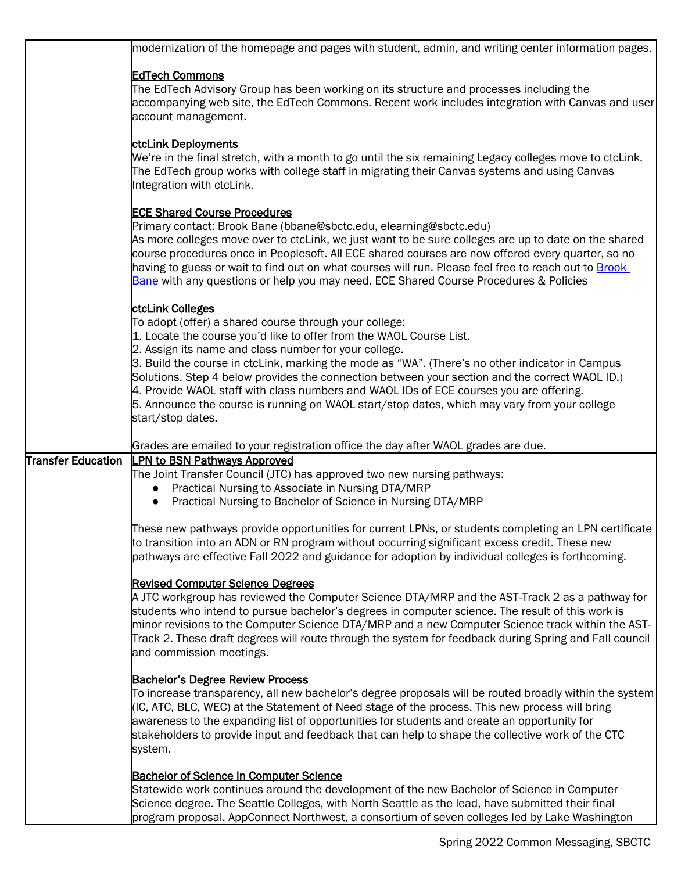|                    | modernization of the homepage and pages with student, admin, and writing center information pages.                                                                                                                                                                                                                                                                                                                                                                                                                                                                                                                             |
|--------------------|--------------------------------------------------------------------------------------------------------------------------------------------------------------------------------------------------------------------------------------------------------------------------------------------------------------------------------------------------------------------------------------------------------------------------------------------------------------------------------------------------------------------------------------------------------------------------------------------------------------------------------|
|                    | <b>EdTech Commons</b><br>The EdTech Advisory Group has been working on its structure and processes including the<br>accompanying web site, the EdTech Commons. Recent work includes integration with Canvas and user<br>account management.                                                                                                                                                                                                                                                                                                                                                                                    |
|                    | ctcLink Deployments<br>We're in the final stretch, with a month to go until the six remaining Legacy colleges move to ctcLink.<br>The EdTech group works with college staff in migrating their Canvas systems and using Canvas<br>Integration with ctcLink.                                                                                                                                                                                                                                                                                                                                                                    |
|                    | <b>ECE Shared Course Procedures</b><br>Primary contact: Brook Bane (bbane@sbctc.edu, elearning@sbctc.edu)<br>As more colleges move over to ctcLink, we just want to be sure colleges are up to date on the shared<br>course procedures once in Peoplesoft. All ECE shared courses are now offered every quarter, so no<br>having to guess or wait to find out on what courses will run. Please feel free to reach out to Brook<br>Bane with any questions or help you may need. ECE Shared Course Procedures & Policies                                                                                                        |
|                    | ctcLink Colleges<br>To adopt (offer) a shared course through your college:<br>1. Locate the course you'd like to offer from the WAOL Course List.<br>2. Assign its name and class number for your college.<br>3. Build the course in ctcLink, marking the mode as "WA". (There's no other indicator in Campus<br>Solutions. Step 4 below provides the connection between your section and the correct WAOL ID.)<br>4. Provide WAOL staff with class numbers and WAOL IDs of ECE courses you are offering.<br>5. Announce the course is running on WAOL start/stop dates, which may vary from your college<br>start/stop dates. |
|                    | Grades are emailed to your registration office the day after WAOL grades are due.                                                                                                                                                                                                                                                                                                                                                                                                                                                                                                                                              |
| Transfer Education | <b>LPN to BSN Pathways Approved</b><br>The Joint Transfer Council (JTC) has approved two new nursing pathways:<br>Practical Nursing to Associate in Nursing DTA/MRP<br>$\bullet$<br>Practical Nursing to Bachelor of Science in Nursing DTA/MRP                                                                                                                                                                                                                                                                                                                                                                                |
|                    | These new pathways provide opportunities for current LPNs, or students completing an LPN certificate<br>to transition into an ADN or RN program without occurring significant excess credit. These new<br>pathways are effective Fall 2022 and guidance for adoption by individual colleges is forthcoming.                                                                                                                                                                                                                                                                                                                    |
|                    | <b>Revised Computer Science Degrees</b><br>A JTC workgroup has reviewed the Computer Science DTA/MRP and the AST-Track 2 as a pathway for<br>students who intend to pursue bachelor's degrees in computer science. The result of this work is<br>minor revisions to the Computer Science DTA/MRP and a new Computer Science track within the AST-<br>Track 2. These draft degrees will route through the system for feedback during Spring and Fall council<br>and commission meetings.                                                                                                                                        |
|                    | <b>Bachelor's Degree Review Process</b><br>To increase transparency, all new bachelor's degree proposals will be routed broadly within the system<br>(IC, ATC, BLC, WEC) at the Statement of Need stage of the process. This new process will bring<br>awareness to the expanding list of opportunities for students and create an opportunity for<br>stakeholders to provide input and feedback that can help to shape the collective work of the CTC<br>system.                                                                                                                                                              |
|                    | <b>Bachelor of Science in Computer Science</b><br>Statewide work continues around the development of the new Bachelor of Science in Computer<br>Science degree. The Seattle Colleges, with North Seattle as the lead, have submitted their final<br>program proposal. AppConnect Northwest, a consortium of seven colleges led by Lake Washington                                                                                                                                                                                                                                                                              |